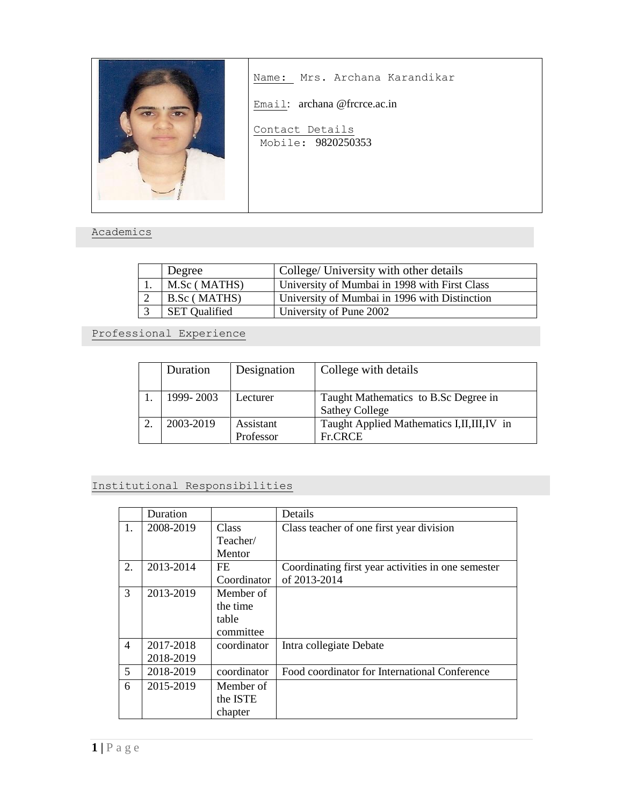

Name: Mrs. Archana Karandikar

Email: archana @frcrce.ac.in

Contact Details Mobile: 9820250353

## Academics

| Degree               | College/ University with other details        |
|----------------------|-----------------------------------------------|
| M.Sc (MATHS)         | University of Mumbai in 1998 with First Class |
| B.Sc (MATHS)         | University of Mumbai in 1996 with Distinction |
| <b>SET Qualified</b> | University of Pune 2002                       |

Professional Experience

| Duration  | Designation            | College with details                                          |
|-----------|------------------------|---------------------------------------------------------------|
| 1999-2003 | Lecturer               | Taught Mathematics to B.Sc Degree in<br><b>Sathey College</b> |
| 2003-2019 | Assistant<br>Professor | Taught Applied Mathematics I, II, III, IV in<br>Fr.CRCE       |

## Institutional Responsibilities

|                | Duration  |             | Details                                            |
|----------------|-----------|-------------|----------------------------------------------------|
| 1.             | 2008-2019 | Class       | Class teacher of one first year division           |
|                |           | Teacher/    |                                                    |
|                |           | Mentor      |                                                    |
| 2.             | 2013-2014 | FE.         | Coordinating first year activities in one semester |
|                |           | Coordinator | of 2013-2014                                       |
| 3              | 2013-2019 | Member of   |                                                    |
|                |           | the time    |                                                    |
|                |           | table       |                                                    |
|                |           | committee   |                                                    |
| $\overline{4}$ | 2017-2018 | coordinator | Intra collegiate Debate                            |
|                | 2018-2019 |             |                                                    |
| 5              | 2018-2019 | coordinator | Food coordinator for International Conference      |
| 6              | 2015-2019 | Member of   |                                                    |
|                |           | the ISTE    |                                                    |
|                |           | chapter     |                                                    |